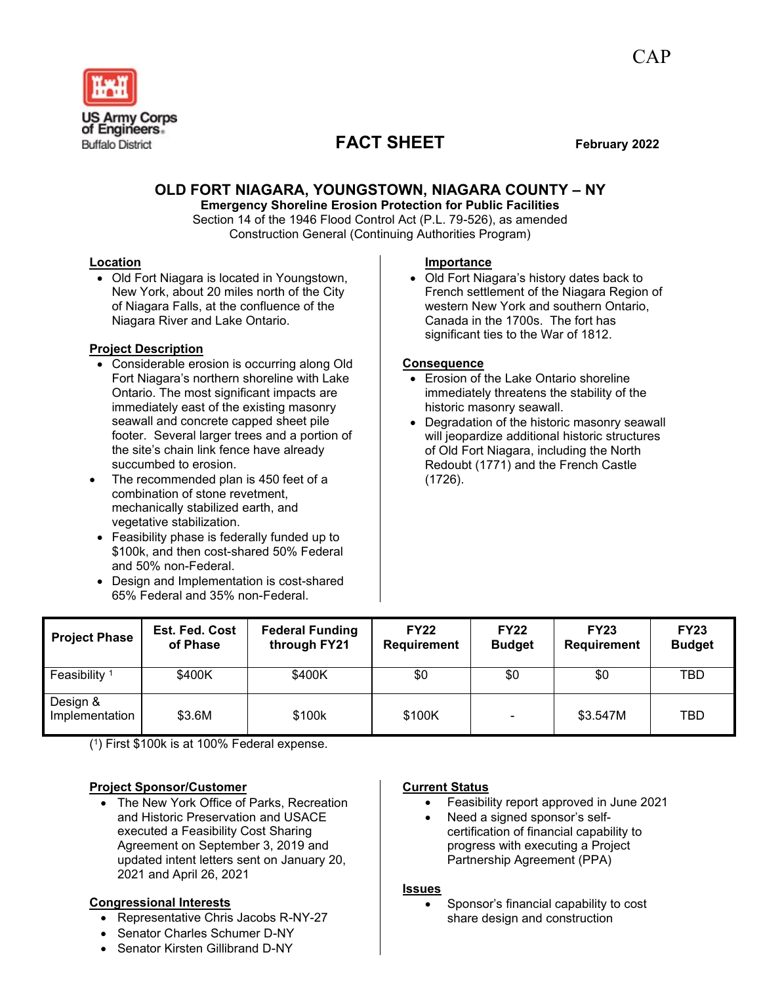

# **FACT SHEET February 2022**

### **OLD FORT NIAGARA, YOUNGSTOWN, NIAGARA COUNTY – NY**

**Emergency Shoreline Erosion Protection for Public Facilities** Section 14 of the 1946 Flood Control Act (P.L. 79-526), as amended Construction General (Continuing Authorities Program)

#### **Location**

• Old Fort Niagara is located in Youngstown, New York, about 20 miles north of the City of Niagara Falls, at the confluence of the Niagara River and Lake Ontario.

#### **Project Description**

- Considerable erosion is occurring along Old Fort Niagara's northern shoreline with Lake Ontario. The most significant impacts are immediately east of the existing masonry seawall and concrete capped sheet pile footer. Several larger trees and a portion of the site's chain link fence have already succumbed to erosion.
- The recommended plan is 450 feet of a combination of stone revetment, mechanically stabilized earth, and vegetative stabilization.
- Feasibility phase is federally funded up to \$100k, and then cost-shared 50% Federal and 50% non-Federal.
- Design and Implementation is cost-shared 65% Federal and 35% non-Federal.

#### **Importance**

• Old Fort Niagara's history dates back to French settlement of the Niagara Region of western New York and southern Ontario, Canada in the 1700s. The fort has significant ties to the War of 1812.

#### **Consequence**

- Erosion of the Lake Ontario shoreline immediately threatens the stability of the historic masonry seawall.
- Degradation of the historic masonry seawall will jeopardize additional historic structures of Old Fort Niagara, including the North Redoubt (1771) and the French Castle (1726).

| <b>Project Phase</b>       | <b>Est. Fed. Cost</b><br>of Phase | <b>Federal Funding</b><br>through FY21 | <b>FY22</b><br><b>Requirement</b> | <b>FY22</b><br><b>Budget</b> | <b>FY23</b><br><b>Requirement</b> | <b>FY23</b><br><b>Budget</b> |
|----------------------------|-----------------------------------|----------------------------------------|-----------------------------------|------------------------------|-----------------------------------|------------------------------|
| Feasibility <sup>1</sup>   | \$400K                            | \$400K                                 | \$0                               | \$0                          | \$0                               | TBD                          |
| Design &<br>Implementation | \$3.6M                            | \$100k                                 | \$100K                            | $\overline{\phantom{0}}$     | \$3.547M                          | TBD                          |

( 1 ) First \$100k is at 100% Federal expense.

### **Project Sponsor/Customer**

• The New York Office of Parks, Recreation and Historic Preservation and USACE executed a Feasibility Cost Sharing Agreement on September 3, 2019 and updated intent letters sent on January 20, 2021 and April 26, 2021

## **Congressional Interests**

- Representative Chris Jacobs R-NY-27
- Senator Charles Schumer D-NY
- Senator Kirsten Gillibrand D-NY

#### **Current Status**

- Feasibility report approved in June 2021
- Need a signed sponsor's selfcertification of financial capability to progress with executing a Project Partnership Agreement (PPA)

#### **Issues**

• Sponsor's financial capability to cost share design and construction